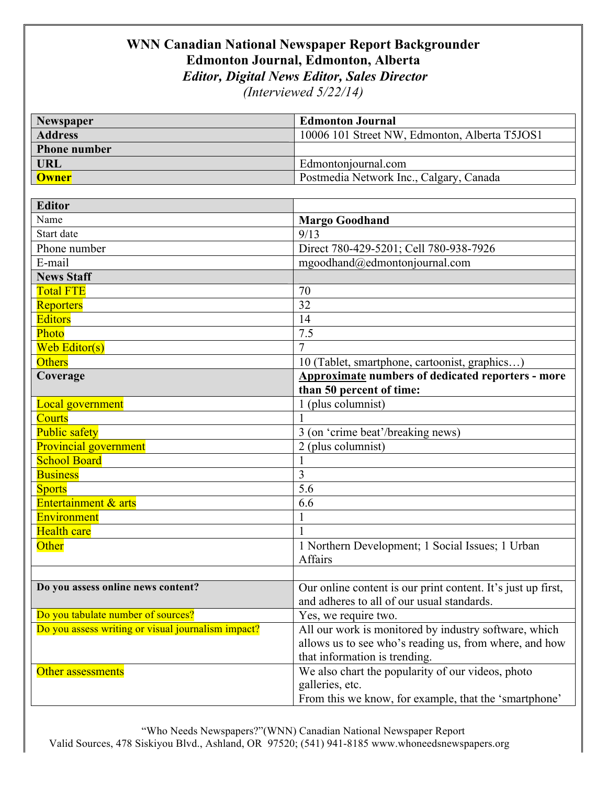## **WNN Canadian National Newspaper Report Backgrounder Edmonton Journal, Edmonton, Alberta** *Editor, Digital News Editor, Sales Director*

*(Interviewed 5/22/14)*

| Newspaper                                          | <b>Edmonton Journal</b>                                      |
|----------------------------------------------------|--------------------------------------------------------------|
| <b>Address</b>                                     | 10006 101 Street NW, Edmonton, Alberta T5JOS1                |
| <b>Phone number</b>                                |                                                              |
| <b>URL</b>                                         | Edmontonjournal.com                                          |
| <b>Owner</b>                                       | Postmedia Network Inc., Calgary, Canada                      |
|                                                    |                                                              |
| <b>Editor</b>                                      |                                                              |
| Name                                               | <b>Margo Goodhand</b>                                        |
| Start date                                         | 9/13                                                         |
| Phone number                                       | Direct 780-429-5201; Cell 780-938-7926                       |
| E-mail                                             | mgoodhand@edmontonjournal.com                                |
| <b>News Staff</b>                                  |                                                              |
| <b>Total FTE</b>                                   | 70                                                           |
| <b>Reporters</b>                                   | 32                                                           |
| <b>Editors</b>                                     | 14                                                           |
| Photo                                              | 7.5                                                          |
| Web Editor(s)                                      | $\overline{7}$                                               |
| <b>Others</b>                                      | 10 (Tablet, smartphone, cartoonist, graphics)                |
| Coverage                                           | <b>Approximate numbers of dedicated reporters - more</b>     |
|                                                    | than 50 percent of time:                                     |
| <b>Local government</b>                            | 1 (plus columnist)                                           |
| <b>Courts</b>                                      |                                                              |
| <b>Public safety</b>                               | $\frac{1}{3}$ (on 'crime beat'/breaking news)                |
| <b>Provincial government</b>                       | 2 (plus columnist)                                           |
| <b>School Board</b>                                |                                                              |
| <b>Business</b>                                    | $\overline{3}$                                               |
| <b>Sports</b>                                      | 5.6                                                          |
| <b>Entertainment &amp; arts</b>                    | 6.6                                                          |
| Environment                                        |                                                              |
| <b>Health care</b>                                 |                                                              |
| Other                                              | 1 Northern Development; 1 Social Issues; 1 Urban             |
|                                                    | Affairs                                                      |
|                                                    |                                                              |
| Do you assess online news content?                 | Our online content is our print content. It's just up first, |
|                                                    | and adheres to all of our usual standards.                   |
| Do you tabulate number of sources?                 | Yes, we require two.                                         |
| Do you assess writing or visual journalism impact? | All our work is monitored by industry software, which        |
|                                                    | allows us to see who's reading us, from where, and how       |
|                                                    | that information is trending.                                |
| Other assessments                                  | We also chart the popularity of our videos, photo            |
|                                                    | galleries, etc.                                              |
|                                                    | From this we know, for example, that the 'smartphone'        |

"Who Needs Newspapers?"(WNN) Canadian National Newspaper Report Valid Sources, 478 Siskiyou Blvd., Ashland, OR 97520; (541) 941-8185 www.whoneedsnewspapers.org